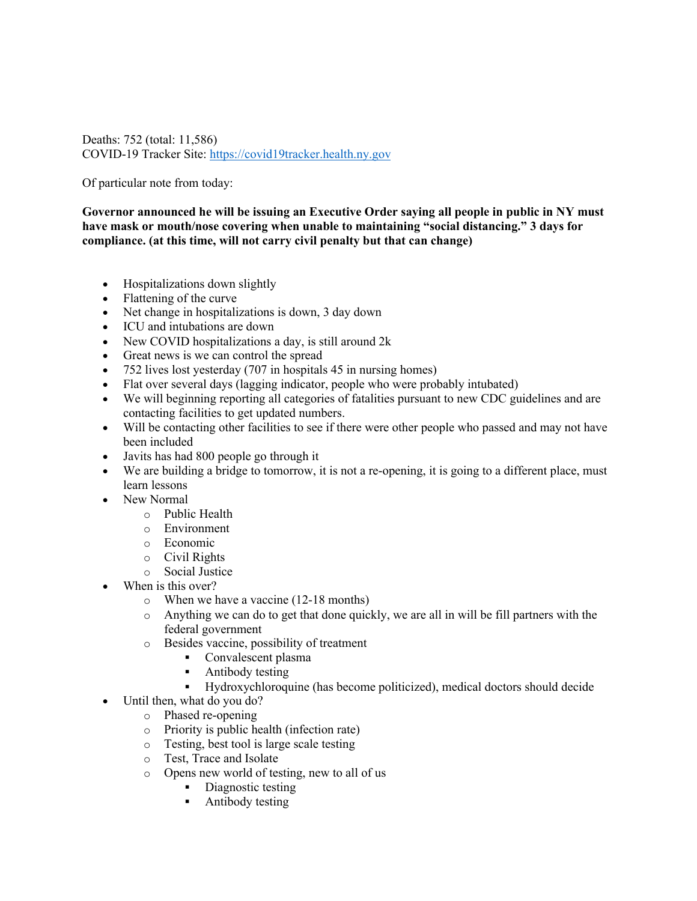Deaths: 752 (total: 11,586) COVID-19 Tracker Site: https://covid19tracker.health.ny.gov

Of particular note from today:

**Governor announced he will be issuing an Executive Order saying all people in public in NY must have mask or mouth/nose covering when unable to maintaining "social distancing." 3 days for compliance. (at this time, will not carry civil penalty but that can change)**

- Hospitalizations down slightly
- Flattening of the curve
- Net change in hospitalizations is down, 3 day down
- ICU and intubations are down
- New COVID hospitalizations a day, is still around 2k
- Great news is we can control the spread
- 752 lives lost yesterday (707 in hospitals 45 in nursing homes)
- Flat over several days (lagging indicator, people who were probably intubated)
- We will beginning reporting all categories of fatalities pursuant to new CDC guidelines and are contacting facilities to get updated numbers.
- Will be contacting other facilities to see if there were other people who passed and may not have been included
- Javits has had 800 people go through it
- We are building a bridge to tomorrow, it is not a re-opening, it is going to a different place, must learn lessons
- New Normal
	- o Public Health
	- o Environment
	- o Economic
	- o Civil Rights
	- o Social Justice
- When is this over?
	- o When we have a vaccine (12-18 months)
	- o Anything we can do to get that done quickly, we are all in will be fill partners with the federal government
	- o Besides vaccine, possibility of treatment
		- Convalescent plasma
		- § Antibody testing
		- § Hydroxychloroquine (has become politicized), medical doctors should decide
- Until then, what do you do?
	- o Phased re-opening
	- o Priority is public health (infection rate)
	- o Testing, best tool is large scale testing
	- o Test, Trace and Isolate
	- o Opens new world of testing, new to all of us
		- Diagnostic testing
		- Antibody testing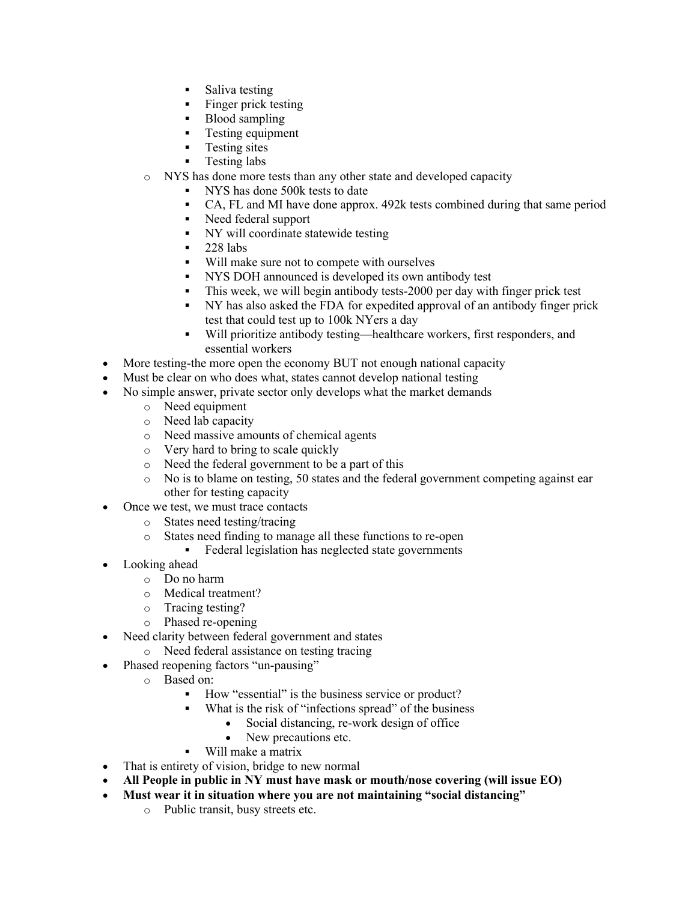- Saliva testing
- Finger prick testing
- Blood sampling
- Testing equipment
- Testing sites
- Testing labs
- o NYS has done more tests than any other state and developed capacity
	- § NYS has done 500k tests to date
	- CA, FL and MI have done approx. 492k tests combined during that same period
	- § Need federal support
	- § NY will coordinate statewide testing
	- $\blacksquare$  228 labs
	- § Will make sure not to compete with ourselves
	- NYS DOH announced is developed its own antibody test
	- This week, we will begin antibody tests-2000 per day with finger prick test
	- § NY has also asked the FDA for expedited approval of an antibody finger prick test that could test up to 100k NYers a day
	- § Will prioritize antibody testing—healthcare workers, first responders, and essential workers
- More testing-the more open the economy BUT not enough national capacity
- Must be clear on who does what, states cannot develop national testing
- No simple answer, private sector only develops what the market demands
	- o Need equipment
	- o Need lab capacity
	- o Need massive amounts of chemical agents
	- o Very hard to bring to scale quickly
	- o Need the federal government to be a part of this
	- o No is to blame on testing, 50 states and the federal government competing against ear other for testing capacity
- Once we test, we must trace contacts
	- o States need testing/tracing
	- o States need finding to manage all these functions to re-open
		- Federal legislation has neglected state governments
- Looking ahead
	- o Do no harm
	- o Medical treatment?
	- o Tracing testing?
	- o Phased re-opening
- Need clarity between federal government and states
- o Need federal assistance on testing tracing
- Phased reopening factors "un-pausing"
	- o Based on:
		- How "essential" is the business service or product?
		- What is the risk of "infections spread" of the business
			- Social distancing, re-work design of office
			- New precautions etc.

## § Will make a matrix

- That is entirety of vision, bridge to new normal
- **All People in public in NY must have mask or mouth/nose covering (will issue EO)**
- **Must wear it in situation where you are not maintaining "social distancing"**
	- o Public transit, busy streets etc.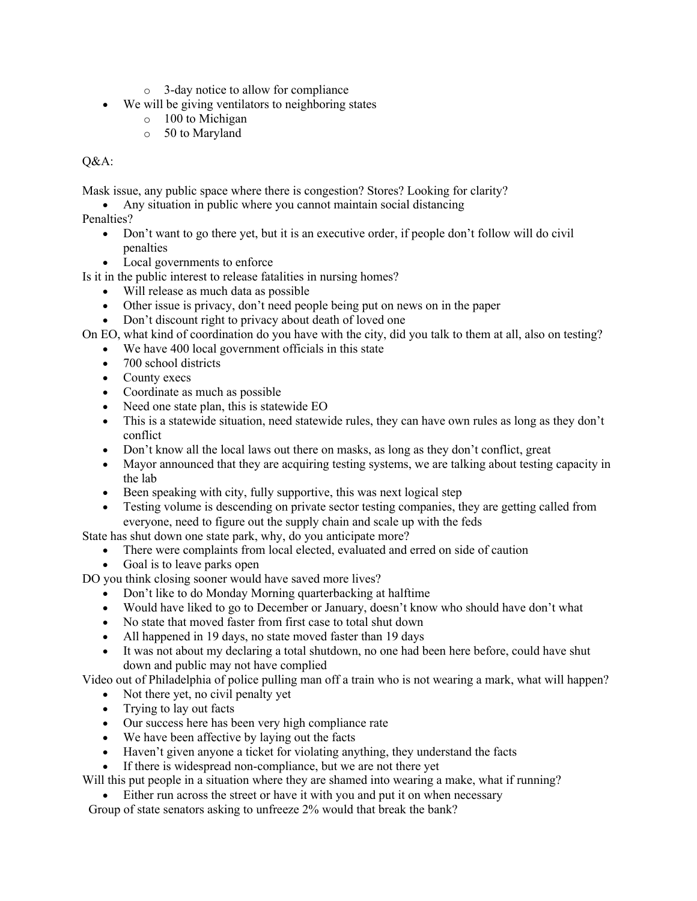- o 3-day notice to allow for compliance
- We will be giving ventilators to neighboring states
	- o 100 to Michigan
	- o 50 to Maryland

## Q&A:

Mask issue, any public space where there is congestion? Stores? Looking for clarity?

• Any situation in public where you cannot maintain social distancing

Penalties?

- Don't want to go there yet, but it is an executive order, if people don't follow will do civil penalties
- Local governments to enforce

Is it in the public interest to release fatalities in nursing homes?

- Will release as much data as possible
- Other issue is privacy, don't need people being put on news on in the paper
- Don't discount right to privacy about death of loved one

On EO, what kind of coordination do you have with the city, did you talk to them at all, also on testing?

- We have 400 local government officials in this state
- 700 school districts
- County execs
- Coordinate as much as possible
- Need one state plan, this is statewide EO
- This is a statewide situation, need statewide rules, they can have own rules as long as they don't conflict
- Don't know all the local laws out there on masks, as long as they don't conflict, great
- Mayor announced that they are acquiring testing systems, we are talking about testing capacity in the lab
- Been speaking with city, fully supportive, this was next logical step
- Testing volume is descending on private sector testing companies, they are getting called from everyone, need to figure out the supply chain and scale up with the feds

State has shut down one state park, why, do you anticipate more?

- There were complaints from local elected, evaluated and erred on side of caution
- Goal is to leave parks open

DO you think closing sooner would have saved more lives?

- Don't like to do Monday Morning quarterbacking at halftime
- Would have liked to go to December or January, doesn't know who should have don't what
- No state that moved faster from first case to total shut down
- All happened in 19 days, no state moved faster than 19 days
- It was not about my declaring a total shutdown, no one had been here before, could have shut down and public may not have complied

Video out of Philadelphia of police pulling man off a train who is not wearing a mark, what will happen?

- Not there yet, no civil penalty yet
- Trying to lay out facts
- Our success here has been very high compliance rate
- We have been affective by laying out the facts
- Haven't given anyone a ticket for violating anything, they understand the facts
- If there is widespread non-compliance, but we are not there yet

Will this put people in a situation where they are shamed into wearing a make, what if running?

• Either run across the street or have it with you and put it on when necessary

Group of state senators asking to unfreeze 2% would that break the bank?